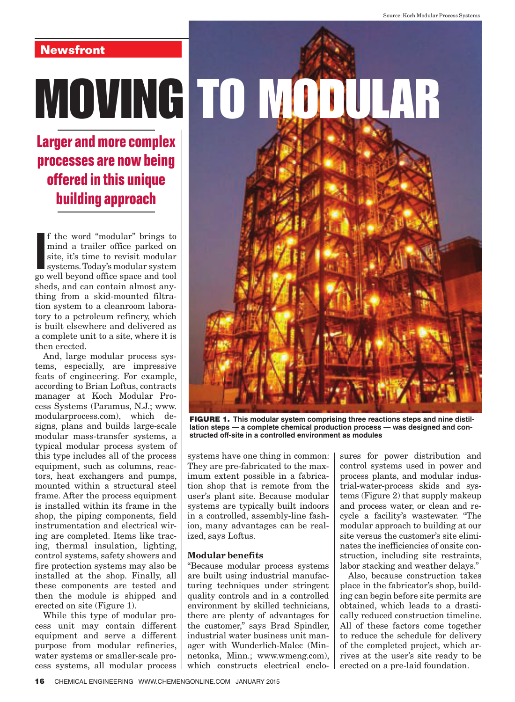# **Newsfront**

**Larger and more complex processes are now being offered in this unique building approach**

**I** f the word "modular" brings to mind a trailer office parked on site, it's time to revisit modular systems. Today's modular system go well beyond office space and tool f the word "modular" brings to mind a trailer office parked on site, it's time to revisit modular systems. Today's modular system sheds, and can contain almost anything from a skid-mounted filtration system to a cleanroom laboratory to a petroleum refinery, which is built elsewhere and delivered as a complete unit to a site, where it is then erected.

And, large modular process systems, especially, are impressive feats of engineering. For example, according to Brian Loftus, contracts manager at Koch Modular Process Systems (Paramus, N.J.; www. modularprocess.com), which designs, plans and builds large-scale modular mass-transfer systems, a typical modular process system of this type includes all of the process equipment, such as columns, reactors, heat exchangers and pumps, mounted within a structural steel frame. After the process equipment is installed within its frame in the shop, the piping components, field instrumentation and electrical wiring are completed. Items like tracing, thermal insulation, lighting, control systems, safety showers and fire protection systems may also be installed at the shop. Finally, all these components are tested and then the module is shipped and erected on site (Figure 1).

While this type of modular process unit may contain different equipment and serve a different purpose from modular refineries, water systems or smaller-scale process systems, all modular process



FIGURE 1. **This modular system comprising three reactions steps and nine distillation steps — a complete chemical production process — was designed and constructed off-site in a controlled environment as modules**

systems have one thing in common: They are pre-fabricated to the maximum extent possible in a fabrication shop that is remote from the user's plant site. Because modular systems are typically built indoors in a controlled, assembly-line fashion, many advantages can be realized, says Loftus.

### Modular benefits

"Because modular process systems are built using industrial manufacturing techniques under stringent quality controls and in a controlled environment by skilled technicians, there are plenty of advantages for the customer," says Brad Spindler, industrial water business unit manager with Wunderlich-Malec (Minnetonka, Minn.; www.wmeng.com), which constructs electrical enclosures for power distribution and control systems used in power and process plants, and modular industrial-water-process skids and systems (Figure 2) that supply makeup and process water, or clean and recycle a facility's wastewater. "The modular approach to building at our site versus the customer's site eliminates the inefficiencies of onsite construction, including site restraints, labor stacking and weather delays."

Also, because construction takes place in the fabricator's shop, building can begin before site permits are obtained, which leads to a drastically reduced construction timeline. All of these factors come together to reduce the schedule for delivery of the completed project, which arrives at the user's site ready to be erected on a pre-laid foundation.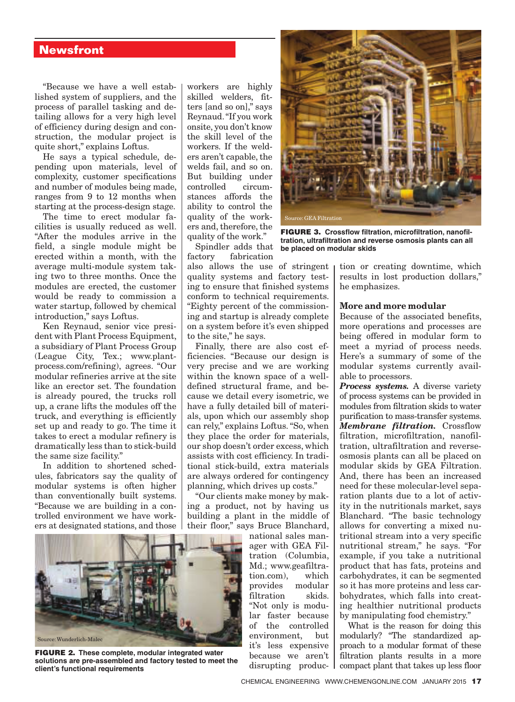## **Newsfront**

"Because we have a well established system of suppliers, and the process of parallel tasking and detailing allows for a very high level of efficiency during design and construction, the modular project is quite short," explains Loftus.

He says a typical schedule, depending upon materials, level of complexity, customer specifications and number of modules being made, ranges from 9 to 12 months when starting at the process-design stage.

The time to erect modular facilities is usually reduced as well. "After the modules arrive in the field, a single module might be erected within a month, with the average multi-module system taking two to three months. Once the modules are erected, the customer would be ready to commission a water startup, followed by chemical introduction," says Loftus.

Ken Reynaud, senior vice president with Plant Process Equipment, a subsidiary of Plant Process Group (League City, Tex.; www.plantprocess.com/refining), agrees. "Our modular refineries arrive at the site like an erector set. The foundation is already poured, the trucks roll up, a crane lifts the modules off the truck, and everything is efficiently set up and ready to go. The time it takes to erect a modular refinery is dramatically less than to stick-build the same size facility."

In addition to shortened schedules, fabricators say the quality of modular systems is often higher than conventionally built systems. "Because we are building in a controlled environment we have workers at designated stations, and those

workers are highly skilled welders, fitters [and so on]," says Reynaud. "If you work onsite, you don't know the skill level of the workers. If the welders aren't capable, the welds fail, and so on. But building under<br>controlled circumcontrolled stances affords the ability to control the quality of the workers and, therefore, the quality of the work."

Spindler adds that factory fabrication also allows the use of stringent quality systems and factory testing to ensure that finished systems conform to technical requirements. "Eighty percent of the commissioning and startup is already complete on a system before it's even shipped to the site," he says.

Finally, there are also cost efficiencies. "Because our design is very precise and we are working within the known space of a welldefined structural frame, and because we detail every isometric, we have a fully detailed bill of materials, upon which our assembly shop can rely," explains Loftus. "So, when they place the order for materials, our shop doesn't order excess, which assists with cost efficiency. In traditional stick-build, extra materials are always ordered for contingency planning, which drives up costs."

"Our clients make money by making a product, not by having us building a plant in the middle of their floor," says Bruce Blanchard,

national sales manager with GEA Filtration (Columbia, Md.; www.geafiltration.com), which provides modular filtration skids. "Not only is modular faster because of the controlled environment, but it's less expensive because we aren't disrupting produc-



**FIGURE 3. Crossflow filtration, microfiltration, nanofiltration, ultrailtration and reverse osmosis plants can all be placed on modular skids**

tion or creating downtime, which results in lost production dollars," he emphasizes.

#### More and more modular

Because of the associated benefits, more operations and processes are being offered in modular form to meet a myriad of process needs. Here's a summary of some of the modular systems currently available to processors.

Process systems. A diverse variety of process systems can be provided in modules from filtration skids to water purification to mass-transfer systems. Membrane filtration. Crossflow filtration, microfiltration, nanofiltration, ultrafiltration and reverseosmosis plants can all be placed on modular skids by GEA Filtration. And, there has been an increased need for these molecular-level separation plants due to a lot of activity in the nutritionals market, says Blanchard. "The basic technology allows for converting a mixed nutritional stream into a very specific nutritional stream," he says. "For example, if you take a nutritional product that has fats, proteins and carbohydrates, it can be segmented so it has more proteins and less carbohydrates, which falls into creating healthier nutritional products by manipulating food chemistry."

What is the reason for doing this modularly? "The standardized approach to a modular format of these filtration plants results in a more compact plant that takes up less floor



FIGURE 2. **These complete, modular integrated water solutions are pre-assembled and factory tested to meet the client's functional requirements**